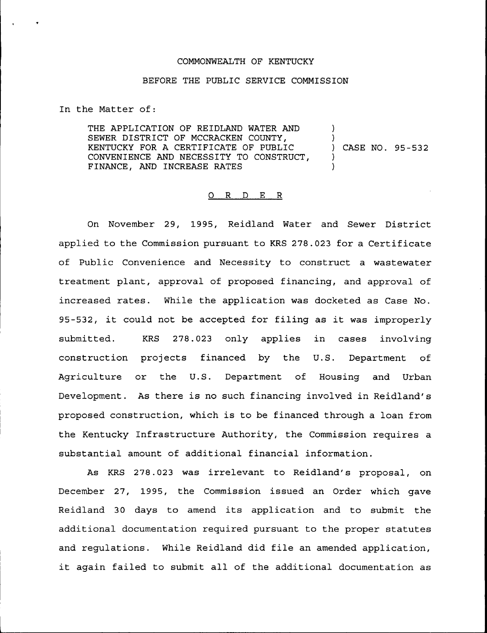## COMMONWEALTH OF KENTUCKY

## BEFORE THE PUBLIC SERVICE COMMISSION

In the Matter of:

THE APPLICATION OF REIDLAND WATER AND SEWER DISTRICT OF MCCRACKEN COUNTY, KENTUCKY FOR A CERTIFICATE OF PUBLIC CONVENIENCE AND NECESSITY TO CONSTRUCT, FINANCE, AND INCREASE RATES ) ) ) CASE NO. 95-532 ) )

## 0 <sup>R</sup> <sup>D</sup> E <sup>R</sup>

On November 29, 1995, Reidland Water and Sewer District applied to the Commission pursuant to KRS 278.023 for a Certificate of Public Convenience and Necessity to construct a wastewater treatment plant, approval of proposed financing, and approval of increased rates. While the application was docketed as Case No. 95-532, it could not be accepted for filing as it was improperly submitted. KRS 278.023 only applies in cases involving construction projects financed by the U.S. Department of Agriculture or the U.S. Department of Housing and Urban Development. As there is no such financing involved in Reidland's proposed construction, which is to be financed through a loan from the Kentucky Infrastructure Authority, the Commission requires a substantial amount of additional financial information.

As KRS 278.023 was irrelevant to Reidland's proposal, on December 27, 1995, the Commission issued an Order which gave Reidland <sup>30</sup> days to amend its application and to submit the additional documentation required pursuant to the proper statutes and regulations. While Reidland did file an amended application, it again failed to submit all of the additional documentation as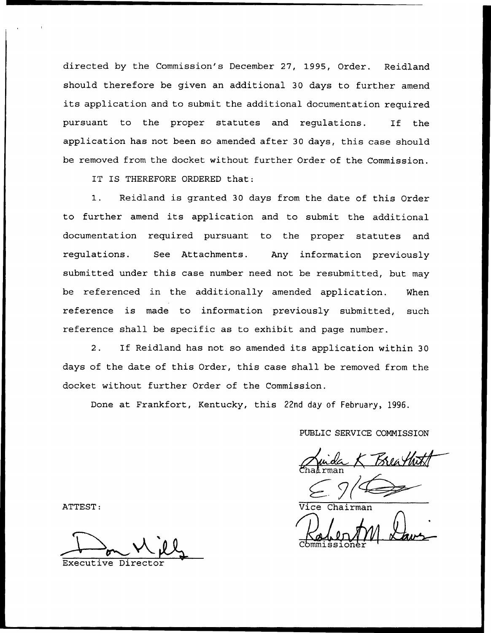directed by the Commission's December 27, 1995, Order. Reidland should therefore be given an additional 30 days to further amend its application and to submit the additional documentation required pursuant to the proper statutes and regulations. If the application has not been so amended after 30 days, this case should be removed from the docket without further Order of the Commission.

IT IS THEREFORE ORDERED that:

I. Reidland is granted <sup>30</sup> days from the date of this Order to further amend its application and to submit the additional documentation required pursuant to the proper statutes and regulations. See Attachments. Any information previously submitted under this case number need not be resubmitted, but may be referenced in the additionally amended application. Nhen reference is made to information previously submitted, such reference shall be specific as to exhibit and page number.

2. If Reidland has not so amended its application within <sup>30</sup> days of the date of this Order, this case shall be removed from the docket without further Order of the Commission.

Done at Frankfort, Kentucky, this 22nd day of February, 1996.

PUBLIC SERVICE COMMISSION<br>Munda K Breathat Chairma

ATTEST: Vice Chairman Commission

Executive Director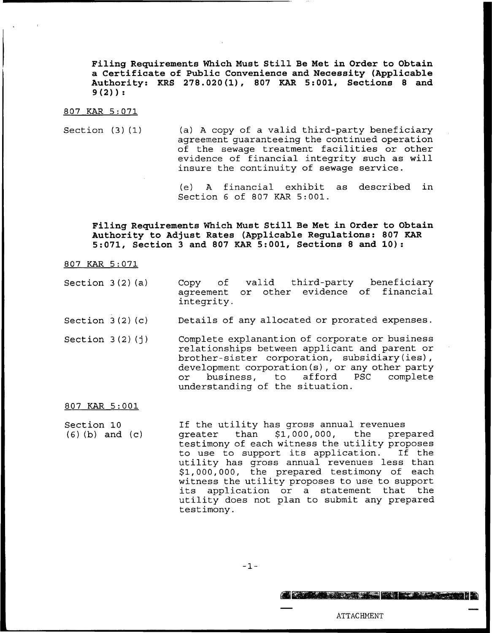Filing Requirements Which Must Still Be Met in Order to Obtain a Certificate of Public Convenience and Necessity (Applicable Authority: KRS 278.020(1), 807 KAR 5:001, Sections <sup>8</sup> and  $9(2)$  :

807 KAR 5:071

Section  $(3)(1)$  (a) A copy of a valid third-party beneficiary agreement guaranteeing the continued operation of the sewage treatment facilities or other evidence of financial integrity such as will insure the continuity of sewage service.

> (e) <sup>A</sup> financial exhibit as described in Section <sup>6</sup> of 807 KAR 5:001.

Filing Requirements Which Must Still Be Met in Order to Obtain Authoxity to Adjust Rates (Applicable Regulations: 807 KAR 5:071, Section <sup>3</sup> and <sup>807</sup> KAR 5:001, Sections <sup>8</sup> and 10):

807 KAR 5:071

- Section  $3(2)(a)$  Copy of agreement or other evidence of financia integrity. valid third-party beneficiary
- Section <sup>3</sup> (2) (c) Details of any allocated or prorated expenses.
- Section  $3(2)(1)$ Complete explanantion of corporate or business relationships between applicant and parent or brother-sister corporation, subsidiary(ies), development corporation(s), or any other party<br>or business, to afford PSC complete business, to understanding of the situation.

807 KAR 5:001

Section 10 (6) (b) and (c) If the utility has gross annual revenues<br>greater than \$1,000,000, the prepared than  $$1,000,000,$ testimony of each witness the utility proposes<br>to use to support its application. If the to use to support its application. utility has gross annual revenues less than \$1,000,000, the prepared testimony of each witness the utility proposes to use to support its application or <sup>a</sup> statement that the utility does not plan to submit any prepared testimony.

 $-1-$ 

ATTACHMENT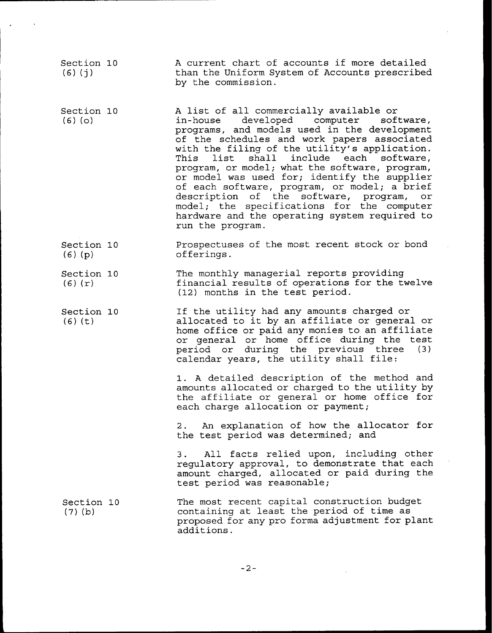| Section 10<br>$(6)$ $(j)$ | A current chart of accounts if more detailed<br>than the Uniform System of Accounts prescribed<br>by the commission.                                                                                                                                                                                                                                                                                                                                                                                                                                                                           |
|---------------------------|------------------------------------------------------------------------------------------------------------------------------------------------------------------------------------------------------------------------------------------------------------------------------------------------------------------------------------------------------------------------------------------------------------------------------------------------------------------------------------------------------------------------------------------------------------------------------------------------|
| Section 10<br>$(6)$ (o)   | A list of all commercially available or<br>in-house developed computer software,<br>programs, and models used in the development<br>of the schedules and work papers associated<br>with the filing of the utility's application.<br>shall include each software,<br>This list<br>program, or model; what the software, program,<br>or model was used for; identify the supplier<br>of each software, program, or model; a brief<br>description of the software, program, or<br>model; the specifications for the computer<br>hardware and the operating system required to<br>run the program. |
| Section 10<br>$(6)$ (p)   | Prospectuses of the most recent stock or bond<br>offerings.                                                                                                                                                                                                                                                                                                                                                                                                                                                                                                                                    |
| Section 10<br>$(6)$ $(r)$ | The monthly managerial reports providing<br>financial results of operations for the twelve<br>(12) months in the test period.                                                                                                                                                                                                                                                                                                                                                                                                                                                                  |
| Section 10<br>$(6)$ $(t)$ | If the utility had any amounts charged or<br>allocated to it by an affiliate or general or<br>home office or paid any monies to an affiliate<br>or general or home office during the test<br>period or during the previous three (3)<br>calendar years, the utility shall file:                                                                                                                                                                                                                                                                                                                |
|                           | 1. A detailed description of the method and<br>amounts allocated or charged to the utility by<br>the affiliate or general or home office for<br>each charge allocation or payment;                                                                                                                                                                                                                                                                                                                                                                                                             |
|                           | 2. An explanation of how the allocator for<br>the test period was determined; and                                                                                                                                                                                                                                                                                                                                                                                                                                                                                                              |
|                           | All facts relied upon, including other<br>3.<br>regulatory approval, to demonstrate that each<br>amount charged, allocated or paid during the<br>test period was reasonable;                                                                                                                                                                                                                                                                                                                                                                                                                   |
| Section 10<br>$(7)$ (b)   | The most recent capital construction budget<br>containing at least the period of time as<br>proposed for any pro forma adjustment for plant<br>additions.                                                                                                                                                                                                                                                                                                                                                                                                                                      |

 $\overline{a}$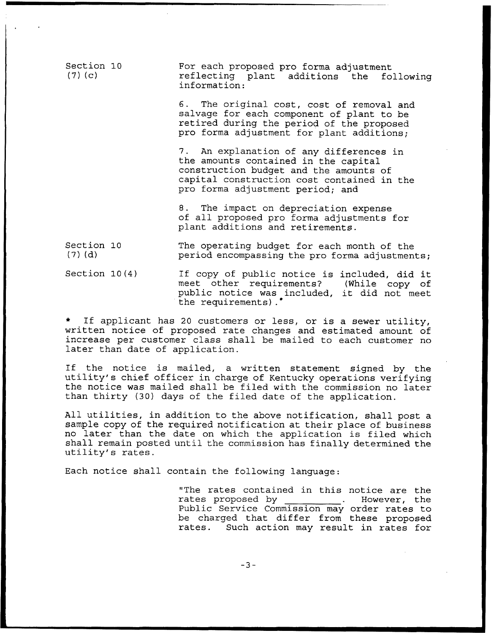| Section 10<br>$(7)$ (c) | For each proposed pro forma adjustment<br>reflecting plant additions the following<br>information:                                                                                                          |
|-------------------------|-------------------------------------------------------------------------------------------------------------------------------------------------------------------------------------------------------------|
|                         | 6. The original cost, cost of removal and<br>salvage for each component of plant to be<br>retired during the period of the proposed<br>pro forma adjustment for plant additions;                            |
|                         | 7. An explanation of any differences in<br>the amounts contained in the capital<br>construction budget and the amounts of<br>capital construction cost contained in the<br>pro forma adjustment period; and |
|                         | 8. The impact on depreciation expense<br>of all proposed pro forma adjustments for<br>plant additions and retirements.                                                                                      |
| Section 10<br>$(7)$ (d) | The operating budget for each month of the<br>period encompassing the pro forma adjustments;                                                                                                                |
| Section $10(4)$         | If copy of public notice is included, did it<br>meet other requirements? (While copy of<br>public notice was included, it did not meet                                                                      |

 $\star$ applicant has <sup>20</sup> customers or less, or is a sewer utility, written notice of proposed rate changes and estimated amount of increase per customer class shall be mailed to each customer no later than date of application.

the requirements).'

If the notice is mailed, <sup>a</sup> written statement signed by the utility's chief officer in charge of Kentucky operations verifying the notice was mailed shall be filed with the commission no later than thirty (30) days of the filed date of the application.

All utilities, in addition to the above notification, shall post a sample copy of the required notification at their place of business no later than the date on which the application is filed which shall remain posted until the commission has finally determined the utility's rates.

Each notice shall contain the following language:

"The rates contained in this notice are the<br>rates proposed by . However, the rates proposed by Public Service Commission may order rates to be charged that differ from these proposed<br>rates. Such action may result in rates for Such action may result in rates for

 $-3-$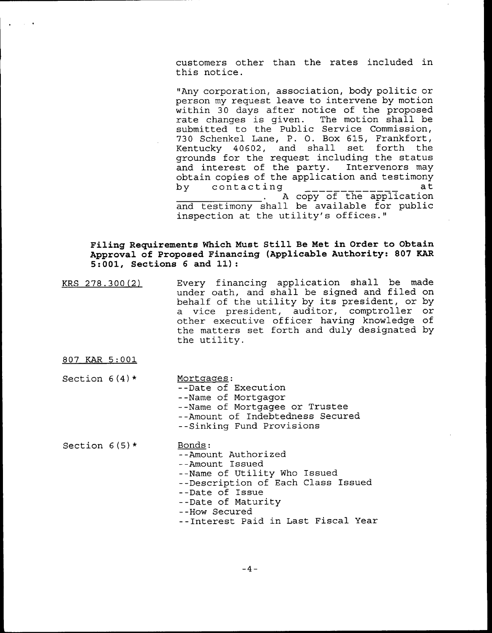customers other than the rates included in this notice.

"Any corporation, association, body politic or person my request leave to intervene by motion within 30 days after notice of the proposed<br>rate changes is given. The motion shall be rate changes is given. submitted to the Public Service Commission, 730 Schenkel Lane, P. O. Box 615, Frankfort,<br>Kentucky 40602, and shall set forth the Kentucky  $40602$ , and shall grounds for the request including the status<br>and interest of the party. Intervenors may and interest of the party.  $obtain copies of the application and testimor$ by contacting  $\begin{bmatrix} 1 & 0 & 0 \\ 0 & 1 & 0 \\ 0 & 0 & 0 \end{bmatrix}$  at <sup>A</sup> copy of the application and testimony shall be available for public inspection at the utility's offices."

## Filing Requirements Which Must Still Be Met in Order to Obtain Approval of Proposed Financing (Applicable Authority: 807 EAR 5:001, Sections <sup>6</sup> and 11):

- KRS 27S.300 (2) Every financing application shall be made under oath, and shall be signed and filed on behalf of the utility by its president, or by a vice president, auditor, comptroller or other executive officer having knowledge of the matters set forth and duly designated by the utility.
- 807 KAR 5:001
- Section  $6(4)$  \* Mortgages: --Date of Execution --Name of Mortgagor --Name of Mortgagee or Trustee --Amount of Indebtedness Secured --Sinking Fund Provisions
- Section  $6(5)*$  Bonds: --Amount Authorized --Amount Issued --Name of Utility Who Issued --Description of Each Class Issued --Date of Issue --Date of Maturity --How Secured --Interest Paid in Last Fiscal Year